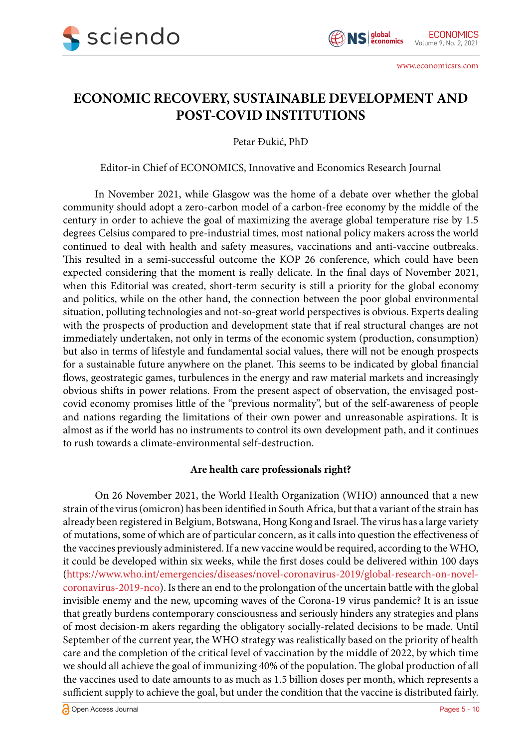

# **ECONOMIC RECOVERY, SUSTAINABLE DEVELOPMENT AND POST-COVID INSTITUTIONS**

Petar Đukić, PhD

Editor-in Chief of ECONOMICS, Innovative and Economics Research Journal

In November 2021, while Glasgow was the home of a debate over whether the global community should adopt a zero-carbon model of a carbon-free economy by the middle of the century in order to achieve the goal of maximizing the average global temperature rise by 1.5 degrees Celsius compared to pre-industrial times, most national policy makers across the world continued to deal with health and safety measures, vaccinations and anti-vaccine outbreaks. This resulted in a semi-successful outcome the KOP 26 conference, which could have been expected considering that the moment is really delicate. In the final days of November 2021, when this Editorial was created, short-term security is still a priority for the global economy and politics, while on the other hand, the connection between the poor global environmental situation, polluting technologies and not-so-great world perspectives is obvious. Experts dealing with the prospects of production and development state that if real structural changes are not immediately undertaken, not only in terms of the economic system (production, consumption) but also in terms of lifestyle and fundamental social values, there will not be enough prospects for a sustainable future anywhere on the planet. This seems to be indicated by global financial flows, geostrategic games, turbulences in the energy and raw material markets and increasingly obvious shifts in power relations. From the present aspect of observation, the envisaged postcovid economy promises little of the "previous normality", but of the self-awareness of people and nations regarding the limitations of their own power and unreasonable aspirations. It is almost as if the world has no instruments to control its own development path, and it continues to rush towards a climate-environmental self-destruction.

## **Are health care professionals right?**

On 26 November 2021, the World Health Organization (WHO) announced that a new strain of the virus (omicron) has been identified in South Africa, but that a variant of the strain has already been registered in Belgium, Botswana, Hong Kong and Israel. The virus has a large variety of mutations, some of which are of particular concern, as it calls into question the effectiveness of the vaccines previously administered. If a new vaccine would be required, according to the WHO, it could be developed within six weeks, while the first doses could be delivered within 100 days [\(https://www.who.int/emergencies/diseases/novel-coronavirus-2019/global-research-on-novel](https://www.who.int/emergencies/diseases/novel-coronavirus-2019/global-research-on-novel-coronavirus-2019-nco)[coronavirus-2019-nco\)](https://www.who.int/emergencies/diseases/novel-coronavirus-2019/global-research-on-novel-coronavirus-2019-nco). Is there an end to the prolongation of the uncertain battle with the global invisible enemy and the new, upcoming waves of the Corona-19 virus pandemic? It is an issue that greatly burdens contemporary consciousness and seriously hinders any strategies and plans of most decision-m akers regarding the obligatory socially-related decisions to be made. Until September of the current year, the WHO strategy was realistically based on the priority of health care and the completion of the critical level of vaccination by the middle of 2022, by which time we should all achieve the goal of immunizing 40% of the population. The global production of all the vaccines used to date amounts to as much as 1.5 billion doses per month, which represents a sufficient supply to achieve the goal, but under the condition that the vaccine is distributed fairly.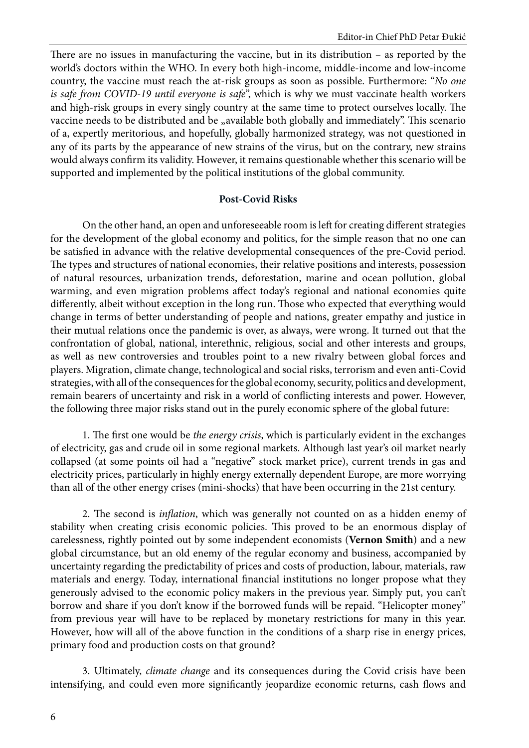There are no issues in manufacturing the vaccine, but in its distribution – as reported by the world's doctors within the WHO. In every both high-income, middle-income and low-income country, the vaccine must reach the at-risk groups as soon as possible. Furthermore: "*No one is safe from COVID-19 until everyone is safe*", which is why we must vaccinate health workers and high-risk groups in every singly country at the same time to protect ourselves locally. The vaccine needs to be distributed and be "available both globally and immediately". This scenario of a, expertly meritorious, and hopefully, globally harmonized strategy, was not questioned in any of its parts by the appearance of new strains of the virus, but on the contrary, new strains would always confirm its validity. However, it remains questionable whether this scenario will be supported and implemented by the political institutions of the global community.

#### **Post-Covid Risks**

On the other hand, an open and unforeseeable room is left for creating different strategies for the development of the global economy and politics, for the simple reason that no one can be satisfied in advance with the relative developmental consequences of the pre-Covid period. The types and structures of national economies, their relative positions and interests, possession of natural resources, urbanization trends, deforestation, marine and ocean pollution, global warming, and even migration problems affect today's regional and national economies quite differently, albeit without exception in the long run. Those who expected that everything would change in terms of better understanding of people and nations, greater empathy and justice in their mutual relations once the pandemic is over, as always, were wrong. It turned out that the confrontation of global, national, interethnic, religious, social and other interests and groups, as well as new controversies and troubles point to a new rivalry between global forces and players. Migration, climate change, technological and social risks, terrorism and even anti-Covid strategies, with all of the consequences for the global economy, security, politics and development, remain bearers of uncertainty and risk in a world of conflicting interests and power. However, the following three major risks stand out in the purely economic sphere of the global future:

1. The first one would be *the energy crisis*, which is particularly evident in the exchanges of electricity, gas and crude oil in some regional markets. Although last year's oil market nearly collapsed (at some points oil had a "negative" stock market price), current trends in gas and electricity prices, particularly in highly energy externally dependent Europe, are more worrying than all of the other energy crises (mini-shocks) that have been occurring in the 21st century.

2. The second is *inflation*, which was generally not counted on as a hidden enemy of stability when creating crisis economic policies. This proved to be an enormous display of carelessness, rightly pointed out by some independent economists (**Vernon Smith**) and a new global circumstance, but an old enemy of the regular economy and business, accompanied by uncertainty regarding the predictability of prices and costs of production, labour, materials, raw materials and energy. Today, international financial institutions no longer propose what they generously advised to the economic policy makers in the previous year. Simply put, you can't borrow and share if you don't know if the borrowed funds will be repaid. "Helicopter money" from previous year will have to be replaced by monetary restrictions for many in this year. However, how will all of the above function in the conditions of a sharp rise in energy prices, primary food and production costs on that ground?

3. Ultimately, *climate change* and its consequences during the Covid crisis have been intensifying, and could even more significantly jeopardize economic returns, cash flows and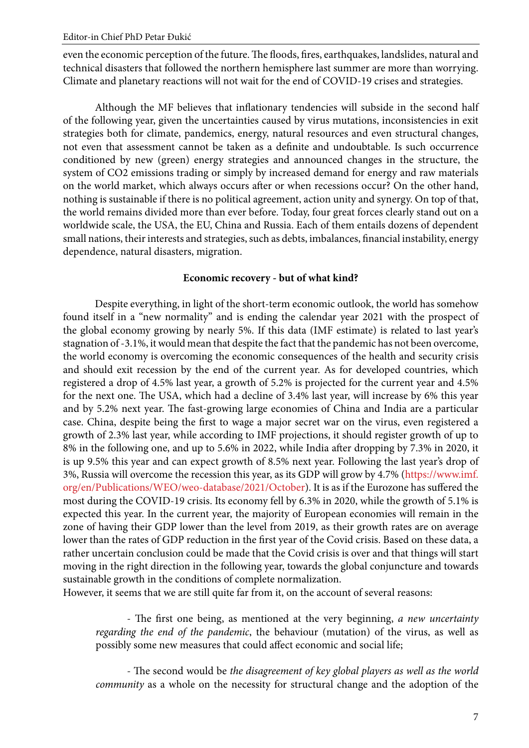even the economic perception of the future. The floods, fires, earthquakes, landslides, natural and technical disasters that followed the northern hemisphere last summer are more than worrying. Climate and planetary reactions will not wait for the end of COVID-19 crises and strategies.

Although the MF believes that inflationary tendencies will subside in the second half of the following year, given the uncertainties caused by virus mutations, inconsistencies in exit strategies both for climate, pandemics, energy, natural resources and even structural changes, not even that assessment cannot be taken as a definite and undoubtable. Is such occurrence conditioned by new (green) energy strategies and announced changes in the structure, the system of CO2 emissions trading or simply by increased demand for energy and raw materials on the world market, which always occurs after or when recessions occur? On the other hand, nothing is sustainable if there is no political agreement, action unity and synergy. On top of that, the world remains divided more than ever before. Today, four great forces clearly stand out on a worldwide scale, the USA, the EU, China and Russia. Each of them entails dozens of dependent small nations, their interests and strategies, such as debts, imbalances, financial instability, energy dependence, natural disasters, migration.

### **Economic recovery - but of what kind?**

Despite everything, in light of the short-term economic outlook, the world has somehow found itself in a "new normality" and is ending the calendar year 2021 with the prospect of the global economy growing by nearly 5%. If this data (IMF estimate) is related to last year's stagnation of -3.1%, it would mean that despite the fact that the pandemic has not been overcome, the world economy is overcoming the economic consequences of the health and security crisis and should exit recession by the end of the current year. As for developed countries, which registered a drop of 4.5% last year, a growth of 5.2% is projected for the current year and 4.5% for the next one. The USA, which had a decline of 3.4% last year, will increase by 6% this year and by 5.2% next year. The fast-growing large economies of China and India are a particular case. China, despite being the first to wage a major secret war on the virus, even registered a growth of 2.3% last year, while according to IMF projections, it should register growth of up to 8% in the following one, and up to 5.6% in 2022, while India after dropping by 7.3% in 2020, it is up 9.5% this year and can expect growth of 8.5% next year. Following the last year's drop of 3%, Russia will overcome the recession this year, as its GDP will grow by 4.7% (https://www.imf. org/en/Publications/WEO/weo-database/2021/October). It is as if the Eurozone has suffered the most during the COVID-19 crisis. Its economy fell by 6.3% in 2020, while the growth of 5.1% is expected this year. In the current year, the majority of European economies will remain in the zone of having their GDP lower than the level from 2019, as their growth rates are on average lower than the rates of GDP reduction in the first year of the Covid crisis. Based on these data, a rather uncertain conclusion could be made that the Covid crisis is over and that things will start moving in the right direction in the following year, towards the global conjuncture and towards sustainable growth in the conditions of complete normalization.

However, it seems that we are still quite far from it, on the account of several reasons:

- The first one being, as mentioned at the very beginning, *a new uncertainty regarding the end of the pandemic*, the behaviour (mutation) of the virus, as well as possibly some new measures that could affect economic and social life;

- The second would be *the disagreement of key global players as well as the world community* as a whole on the necessity for structural change and the adoption of the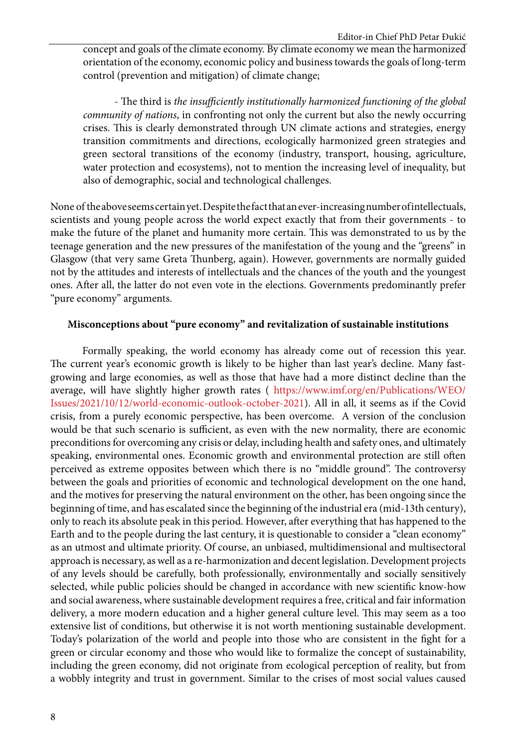concept and goals of the climate economy. By climate economy we mean the harmonized orientation of the economy, economic policy and business towards the goals of long-term control (prevention and mitigation) of climate change;

- The third is *the insufficiently institutionally harmonized functioning of the global community of nations*, in confronting not only the current but also the newly occurring crises. This is clearly demonstrated through UN climate actions and strategies, energy transition commitments and directions, ecologically harmonized green strategies and green sectoral transitions of the economy (industry, transport, housing, agriculture, water protection and ecosystems), not to mention the increasing level of inequality, but also of demographic, social and technological challenges.

None of the above seems certain yet. Despite the fact that an ever-increasing number of intellectuals, scientists and young people across the world expect exactly that from their governments - to make the future of the planet and humanity more certain. This was demonstrated to us by the teenage generation and the new pressures of the manifestation of the young and the "greens" in Glasgow (that very same Greta Thunberg, again). However, governments are normally guided not by the attitudes and interests of intellectuals and the chances of the youth and the youngest ones. After all, the latter do not even vote in the elections. Governments predominantly prefer "pure economy" arguments.

#### **Misconceptions about "pure economy" and revitalization of sustainable institutions**

Formally speaking, the world economy has already come out of recession this year. The current year's economic growth is likely to be higher than last year's decline. Many fastgrowing and large economies, as well as those that have had a more distinct decline than the average, will have slightly higher growth rates ( [https://www.imf.org/en/Publications/WEO/](https://www.imf.org/en/Publications/WEO/Issues/2021/10/12/world-economic-outlook-october-2021) [Issues/2021/10/12/world-economic-outlook-october-2021\)](https://www.imf.org/en/Publications/WEO/Issues/2021/10/12/world-economic-outlook-october-2021). All in all, it seems as if the Covid crisis, from a purely economic perspective, has been overcome. A version of the conclusion would be that such scenario is sufficient, as even with the new normality, there are economic preconditions for overcoming any crisis or delay, including health and safety ones, and ultimately speaking, environmental ones. Economic growth and environmental protection are still often perceived as extreme opposites between which there is no "middle ground". The controversy between the goals and priorities of economic and technological development on the one hand, and the motives for preserving the natural environment on the other, has been ongoing since the beginning of time, and has escalated since the beginning of the industrial era (mid-13th century), only to reach its absolute peak in this period. However, after everything that has happened to the Earth and to the people during the last century, it is questionable to consider a "clean economy" as an utmost and ultimate priority. Of course, an unbiased, multidimensional and multisectoral approach is necessary, as well as a re-harmonization and decent legislation. Development projects of any levels should be carefully, both professionally, environmentally and socially sensitively selected, while public policies should be changed in accordance with new scientific know-how and social awareness, where sustainable development requires a free, critical and fair information delivery, a more modern education and a higher general culture level. This may seem as a too extensive list of conditions, but otherwise it is not worth mentioning sustainable development. Today's polarization of the world and people into those who are consistent in the fight for a green or circular economy and those who would like to formalize the concept of sustainability, including the green economy, did not originate from ecological perception of reality, but from a wobbly integrity and trust in government. Similar to the crises of most social values caused